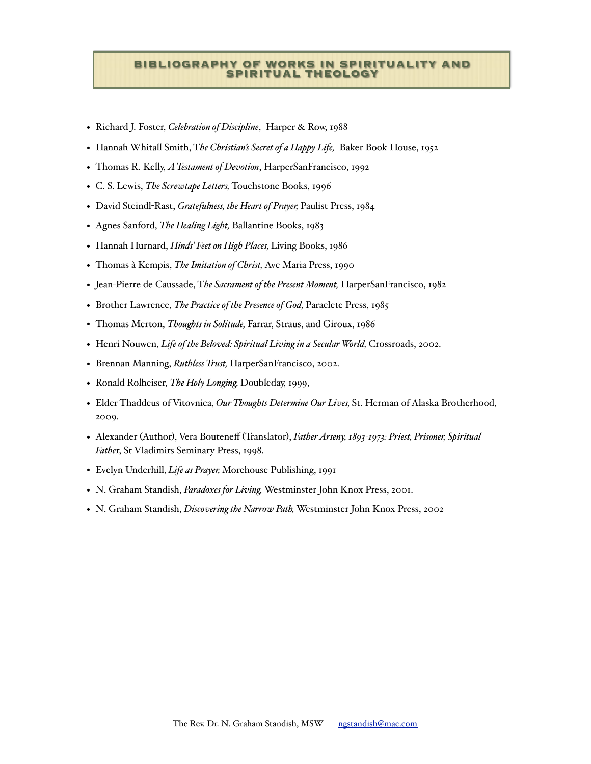## **BIBLIOGRAPHY OF WORKS IN SPIRITUALITY AND SPIRITUAL THEOLOGY**

- Richard J. Foster, *Celebration of Discipline*, Harper & Row, 1988
- Hannah Whitall Smith, T*he Christian's Secret of a Happy Life,* Baker Book House, 1952
- Thomas R. Kelly, *A Testament of Devotion*, HarperSanFrancisco, 1992
- C. S. Lewis, *The Screwtape Letters,* Touchstone Books, 1996
- David Steindl-Rast, *Gratefulness, the Heart of Prayer,* Paulist Press, 1984
- Agnes Sanford, *The Healing Light,* Ballantine Books, 1983
- Hannah Hurnard, *Hinds' Feet on High Places,* Living Books, 1986
- Thomas à Kempis, *The Imitation of Christ,* Ave Maria Press, 1990
- Jean-Pierre de Caussade, T*he Sacrament of the Present Moment,* HarperSanFrancisco, 1982
- Brother Lawrence, *The Practice of the Presence of God,* Paraclete Press, 1985
- Thomas Merton, *Thoughts in Solitude,* Farrar, Straus, and Giroux, 1986
- Henri Nouwen, *Life of the Beloved: Spiritual Living in a Secular World*, Crossroads, 2002.
- Brennan Manning, *Ruthless Trust,* HarperSanFrancisco, 2002.
- Ronald Rolheiser, *The Holy Longing,* Doubleday, 1999,
- Elder Thaddeus of Vitovnica, *Our Thoughts Determine Our Lives,* St. Herman of Alaska Brotherhood, 2009.
- Alexander (Author), Vera Bouteneff (Translator), *Father Arseny, 1893-1973: Priest, Prisoner, Spiritual Fathe*r, St Vladimirs Seminary Press, 1998.
- Evelyn Underhill, *Life as Prayer,* Morehouse Publishing, 1991
- N. Graham Standish, *Paradoxes for Living,* Westminster John Knox Press, 2001.
- N. Graham Standish, *Discovering the Narrow Path,* Westminster John Knox Press, 2002